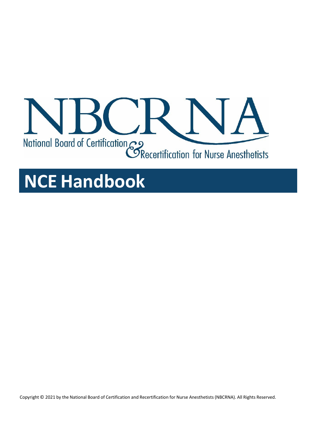

# **NCE Handbook**

Copyright © 2021 by the National Board of Certification and Recertification for Nurse Anesthetists(NBCRNA). All Rights Reserved.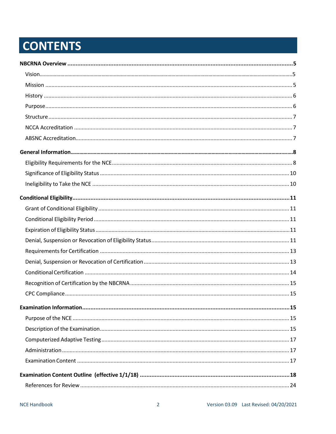# **CONTENTS**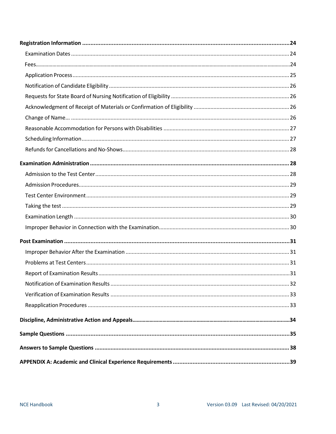| 32 |
|----|
|    |
|    |
|    |
|    |
|    |
|    |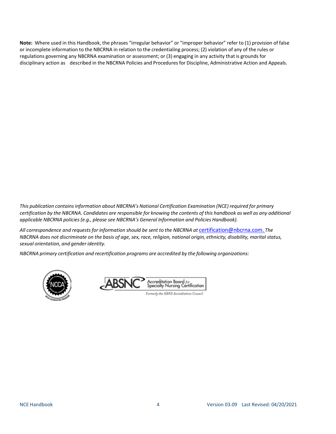**Note:** Where used in this Handbook, the phrases "irregular behavior" or "improper behavior" refer to (1) provision of false or incomplete information to the NBCRNA in relation to the credentialing process; (2) violation of any of the rules or regulations governing any NBCRNA examination or assessment; or (3) engaging in any activity that is grounds for disciplinary action as described in the NBCRNA Policies and Procedures for Discipline, Administrative Action and Appeals.

*This publication containsinformation about NBCRNA's National Certification Examination (NCE) required for primary* certification by the NBCRNA. Candidates are responsible for knowing the contents of this handbook as well as any additional *applicable NBCRNA policies(e.g., please see NBCRNA's General Information and Policies Handbook).*

*All correspondence and requestsfor information should be sent to the NBCRNA at* [certification@nbcrna.com.](mailto:certification@nbcrna.com) *The* NBCRNA does not discriminate on the basis of age, sex, race, religion, national origin, ethnicity, disability, marital status, *sexual orientation, and genderidentity.*

*NBCRNA primary certification and recertification programs are accredited by the following organizations:*



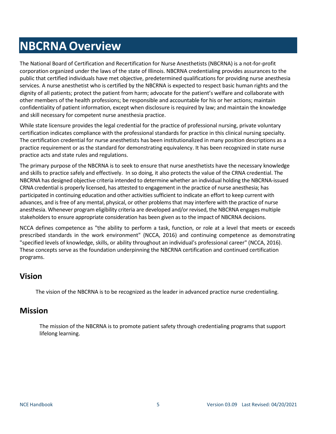# <span id="page-4-0"></span>**NBCRNA Overview**

The National Board of Certification and Recertification for Nurse Anesthetists (NBCRNA) is a not-for-profit corporation organized under the laws of the state of Illinois. NBCRNA credentialing provides assurances to the public that certified individuals have met objective, predetermined qualifications for providing nurse anesthesia services. A nurse anesthetist who is certified by the NBCRNA is expected to respect basic human rights and the dignity of all patients; protect the patient from harm; advocate for the patient's welfare and collaborate with other members of the health professions; be responsible and accountable for his or her actions; maintain confidentiality of patient information, except when disclosure is required by law; and maintain the knowledge and skill necessary for competent nurse anesthesia practice.

While state licensure provides the legal credential for the practice of professional nursing, private voluntary certification indicates compliance with the professional standards for practice in this clinical nursing specialty. The certification credential for nurse anesthetists has been institutionalized in many position descriptions as a practice requirement or as the standard for demonstrating equivalency. It has been recognized in state nurse practice acts and state rules and regulations.

The primary purpose of the NBCRNA is to seek to ensure that nurse anesthetists have the necessary knowledge and skills to practice safely and effectively. In so doing, it also protects the value of the CRNA credential. The NBCRNA has designed objective criteria intended to determine whether an individual holding the NBCRNA-issued CRNA credential is properly licensed, has attested to engagement in the practice of nurse anesthesia; has participated in continuing education and other activities sufficient to indicate an effort to keep current with advances, and is free of any mental, physical, or other problemsthat may interfere with the practice of nurse anesthesia. Whenever program eligibility criteria are developed and/or revised, the NBCRNA engages multiple stakeholders to ensure appropriate consideration has been given as to the impact of NBCRNA decisions.

NCCA defines competence as "the ability to perform a task, function, or role at a level that meets or exceeds prescribed standards in the work environment" (NCCA, 2016) and continuing competence as demonstrating "specified levels of knowledge, skills, or ability throughout an individual's professional career" (NCCA, 2016). These concepts serve as the foundation underpinning the NBCRNA certification and continued certification programs.

# <span id="page-4-1"></span>**Vision**

The vision of the NBCRNA is to be recognized as the leader in advanced practice nurse credentialing.

## <span id="page-4-2"></span>**Mission**

The mission of the NBCRNA is to promote patient safety through credentialing programs that support lifelong learning.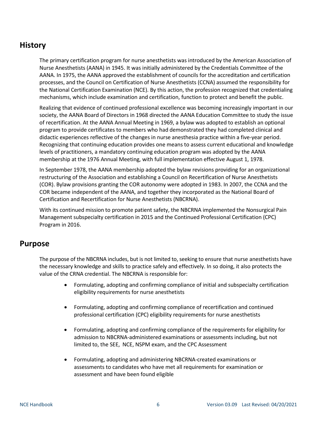## <span id="page-5-0"></span>**History**

The primary certification program for nurse anesthetists was introduced by the American Association of Nurse Anesthetists (AANA) in 1945. It was initially administered by the Credentials Committee of the AANA. In 1975, the AANA approved the establishment of councils for the accreditation and certification processes, and the Council on Certification of Nurse Anesthetists (CCNA) assumed the responsibility for the National Certification Examination (NCE). By this action, the profession recognized that credentialing mechanisms, which include examination and certification, function to protect and benefit the public.

Realizing that evidence of continued professional excellence was becoming increasingly important in our society, the AANA Board of Directors in 1968 directed the AANA Education Committee to study the issue of recertification. At the AANA Annual Meeting in 1969, a bylaw was adopted to establish an optional program to provide certificates to members who had demonstrated they had completed clinical and didactic experiences reflective of the changes in nurse anesthesia practice within a five-year period. Recognizing that continuing education provides one means to assess current educational and knowledge levels of practitioners, a mandatory continuing education program was adopted by the AANA membership at the 1976 Annual Meeting, with full implementation effective August 1, 1978.

In September 1978, the AANA membership adopted the bylaw revisions providing for an organizational restructuring of the Association and establishing a Council on Recertification of Nurse Anesthetists (COR). Bylaw provisions granting the COR autonomy were adopted in 1983. In 2007, the CCNA and the COR became independent of the AANA, and together they incorporated as the National Board of Certification and Recertification for Nurse Anesthetists (NBCRNA).

With its continued mission to promote patient safety, the NBCRNA implemented the Nonsurgical Pain Management subspecialty certification in 2015 and the Continued Professional Certification (CPC) Program in 2016.

## <span id="page-5-1"></span>**Purpose**

The purpose of the NBCRNA includes, but is not limited to, seeking to ensure that nurse anesthetists have the necessary knowledge and skills to practice safely and effectively. In so doing, it also protects the value of the CRNA credential. The NBCRNA is responsible for:

- Formulating, adopting and confirming compliance of initial and subspecialty certification eligibility requirements for nurse anesthetists
- Formulating, adopting and confirming compliance of recertification and continued professional certification (CPC) eligibility requirements for nurse anesthetists
- Formulating, adopting and confirming compliance of the requirements for eligibility for admission to NBCRNA-administered examinations or assessments including, but not limited to, the SEE, NCE, NSPM exam, and the CPC Assessment
- Formulating, adopting and administering NBCRNA-created examinations or assessments to candidates who have met all requirements for examination or assessment and have been found eligible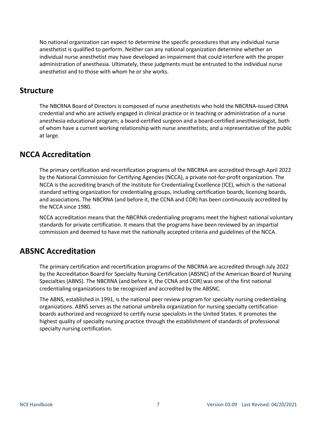No national organization can expect to determine the specific procedures that any individual nurse anesthetist is qualified to perform. Neither can any national organization determine whether an individual nurse anesthetist may have developed an impairment that could interfere with the proper administration of anesthesia. Ultimately, these judgments must be entrusted to the individual nurse anesthetist and to those with whom he or she works.

## <span id="page-6-0"></span>**Structure**

The NBCRNA Board of Directors is composed of nurse anesthetists who hold the NBCRNA-issued CRNA credential and who are actively engaged in clinical practice or in teaching or administration of a nurse anesthesia educational program; a board-certified surgeon and a board-certified anesthesiologist, both of whom have a current working relationship with nurse anesthetists; and a representative of the public at large.

## <span id="page-6-1"></span>**NCCA Accreditation**

The primary certification and recertification programs of the NBCRNA are accredited through April 2022 by the National Commission for Certifying Agencies (NCCA), a private not-for-profit organization. The NCCA is the accrediting branch of the Institute for Credentialing Excellence (ICE), which is the national standard setting organization for credentialing groups, including certification boards, licensing boards, and associations. The NBCRNA (and before it, the CCNA and COR) has been continuously accredited by the NCCA since 1980.

NCCA accreditation means that the NBCRNA credentialing programs meet the highest national voluntary standards for private certification. It means that the programs have been reviewed by an impartial commission and deemed to have met the nationally accepted criteria and guidelines of the NCCA.

## <span id="page-6-2"></span>**ABSNC Accreditation**

The primary certification and recertification programs of the NBCRNA are accredited through July 2022 by the Accreditation Board for Specialty Nursing Certification (ABSNC) of the American Board of Nursing Specialties (ABNS). The NBCRNA (and before it, the CCNA and COR) was one of the first national credentialing organizations to be recognized and accredited by the ABSNC.

The ABNS, established in 1991, is the national peer review program for specialty nursing credentialing organizations. ABNS serves as the national umbrella organization for nursing specialty certification boards authorized and recognized to certify nurse specialists in the United States. It promotes the highest quality of specialty nursing practice through the establishment of standards of professional specialty nursing certification.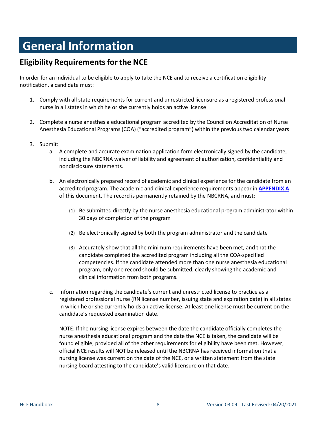# <span id="page-7-0"></span>**General Information**

# <span id="page-7-1"></span>**Eligibility Requirementsfor the NCE**

In order for an individual to be eligible to apply to take the NCE and to receive a certification eligibility notification, a candidate must:

- 1. Comply with all state requirements for current and unrestricted licensure as a registered professional nurse in all states in which he or she currently holds an active license
- 2. Complete a nurse anesthesia educational program accredited by the Council on Accreditation of Nurse Anesthesia Educational Programs (COA) ("accredited program") within the previous two calendar years
- 3. Submit:
	- a. A complete and accurate examination application form electronically signed by the candidate, including the NBCRNA waiver of liability and agreement of authorization, confidentiality and nondisclosure statements.
	- b. An electronically prepared record of academic and clinical experience for the candidate from an accredited program. The academic and clinical experience requirements appear in **[APPENDIX](#page-38-0) A** of this document. The record is permanently retained by the NBCRNA, and must:
		- (1) Be submitted directly by the nurse anesthesia educational program administrator within 30 days of completion of the program
		- (2) Be electronically signed by both the program administrator and the candidate
		- (3) Accurately show that all the minimum requirements have been met, and that the candidate completed the accredited program including all the COA-specified competencies. If the candidate attended more than one nurse anesthesia educational program, only one record should be submitted, clearly showing the academic and clinical information from both programs.
	- c. Information regarding the candidate's current and unrestricted license to practice as a registered professional nurse (RN license number, issuing state and expiration date) in all states in which he or she currently holds an active license. At least one license must be current on the candidate's requested examination date.

NOTE: If the nursing license expires between the date the candidate officially completes the nurse anesthesia educational program and the date the NCE is taken, the candidate will be found eligible, provided all of the other requirements for eligibility have been met. However, official NCE results will NOT be released until the NBCRNA has received information that a nursing license was current on the date of the NCE, or a written statement from the state nursing board attesting to the candidate's valid licensure on that date.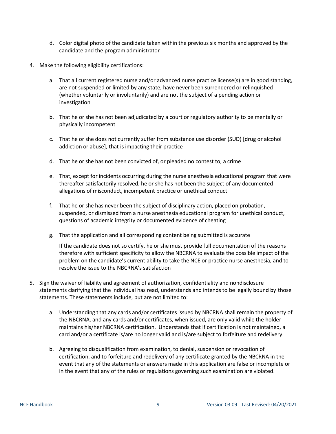- d. Color digital photo of the candidate taken within the previous six months and approved by the candidate and the program administrator
- 4. Make the following eligibility certifications:
	- a. That all current registered nurse and/or advanced nurse practice license(s) are in good standing, are not suspended or limited by any state, have never been surrendered or relinquished (whether voluntarily or involuntarily) and are not the subject of a pending action or investigation
	- b. That he or she has not been adjudicated by a court or regulatory authority to be mentally or physically incompetent
	- c. That he or she does not currently suffer from substance use disorder (SUD) [drug or alcohol addiction or abuse], that is impacting their practice
	- d. That he or she has not been convicted of, or pleaded no contest to, a crime
	- e. That, except for incidents occurring during the nurse anesthesia educational program that were thereafter satisfactorily resolved, he or she has not been the subject of any documented allegations of misconduct, incompetent practice or unethical conduct
	- f. That he or she has never been the subject of disciplinary action, placed on probation, suspended, or dismissed from a nurse anesthesia educational program for unethical conduct, questions of academic integrity or documented evidence of cheating
	- g. That the application and all corresponding content being submitted is accurate

If the candidate does not so certify, he or she must provide full documentation of the reasons therefore with sufficient specificity to allow the NBCRNA to evaluate the possible impact of the problem on the candidate's current ability to take the NCE or practice nurse anesthesia, and to resolve the issue to the NBCRNA's satisfaction

- 5. Sign the waiver of liability and agreement of authorization, confidentiality and nondisclosure statements clarifying that the individual has read, understands and intends to be legally bound by those statements. These statements include, but are not limited to:
	- a. Understanding that any cards and/or certificates issued by NBCRNA shall remain the property of the NBCRNA, and any cards and/or certificates, when issued, are only valid while the holder maintains his/her NBCRNA certification. Understands that if certification is not maintained, a card and/or a certificate is/are no longer valid and is/are subject to forfeiture and redelivery.
	- b. Agreeing to disqualification from examination, to denial, suspension or revocation of certification, and to forfeiture and redelivery of any certificate granted by the NBCRNA in the event that any of the statements or answers made in this application are false or incomplete or in the event that any of the rules or regulations governing such examination are violated.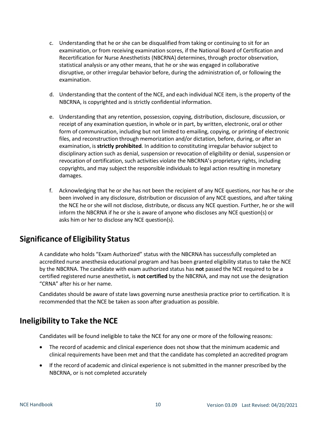- c. Understanding that he or she can be disqualified from taking or continuing to sit for an examination, or from receiving examination scores, if the National Board of Certification and Recertification for Nurse Anesthetists (NBCRNA) determines, through proctor observation, statistical analysis or any other means, that he or she was engaged in collaborative disruptive, or other irregular behavior before, during the administration of, or following the examination.
- d. Understanding that the content of the NCE, and each individual NCE item, is the property of the NBCRNA, is copyrighted and is strictly confidential information.
- e. Understanding that any retention, possession, copying, distribution, disclosure, discussion, or receipt of any examination question, in whole or in part, by written, electronic, oral or other form of communication, including but not limited to emailing, copying, or printing of electronic files, and reconstruction through memorization and/or dictation, before, during, or after an examination, is **strictly prohibited**. In addition to constituting irregular behavior subject to disciplinary action such as denial, suspension or revocation of eligibility or denial, suspension or revocation of certification, such activities violate the NBCRNA's proprietary rights, including copyrights, and may subject the responsible individuals to legal action resulting in monetary damages.
- f. Acknowledging that he or she has not been the recipient of any NCE questions, nor has he or she been involved in any disclosure, distribution or discussion of any NCE questions, and after taking the NCE he or she will not disclose, distribute, or discuss any NCE question. Further, he or she will inform the NBCRNA if he orshe is aware of anyone who discloses any NCE question(s) or asks him or her to disclose any NCE question(s).

# <span id="page-9-0"></span>**Significance of Eligibility Status**

A candidate who holds "Exam Authorized" status with the NBCRNA has successfully completed an accredited nurse anesthesia educational program and has been granted eligibility status to take the NCE by the NBCRNA. The candidate with exam authorized status has **not** passed the NCE required to be a certified registered nurse anesthetist, is **not certified** by the NBCRNA, and may not use the designation "CRNA" after his or her name.

Candidates should be aware of state laws governing nurse anesthesia practice prior to certification. It is recommended that the NCE be taken as soon after graduation as possible.

## <span id="page-9-1"></span>**Ineligibility to Take the NCE**

Candidates will be found ineligible to take the NCE for any one or more of the following reasons:

- The record of academic and clinical experience does not show that the minimum academic and clinical requirements have been met and that the candidate has completed an accredited program
- If the record of academic and clinical experience is not submitted in the manner prescribed by the NBCRNA, or is not completed accurately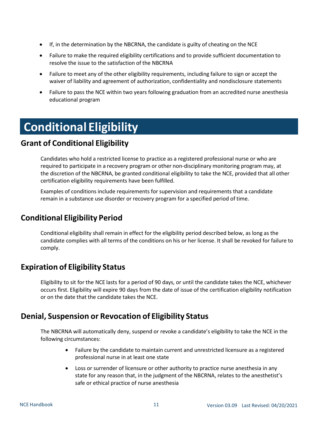- If, in the determination by the NBCRNA, the candidate is guilty of cheating on the NCE
- Failure to make the required eligibility certifications and to provide sufficient documentation to resolve the issue to the satisfaction of the NBCRNA
- Failure to meet any of the other eligibility requirements, including failure to sign or accept the waiver of liability and agreement of authorization, confidentiality and nondisclosure statements
- Failure to pass the NCE within two years following graduation from an accredited nurse anesthesia educational program

# <span id="page-10-0"></span>**Conditional Eligibility**

# <span id="page-10-1"></span>**Grant of Conditional Eligibility**

Candidates who hold a restricted license to practice as a registered professional nurse or who are required to participate in a recovery program or other non-disciplinary monitoring program may, at the discretion of the NBCRNA, be granted conditional eligibility to take the NCE, provided that all other certification eligibility requirements have been fulfilled.

Examples of conditions include requirements for supervision and requirements that a candidate remain in a substance use disorder or recovery program for a specified period of time.

# <span id="page-10-2"></span>**Conditional Eligibility Period**

Conditional eligibility shall remain in effect for the eligibility period described below, as long as the candidate complies with all terms of the conditions on his or her license. It shall be revoked for failure to comply.

# <span id="page-10-3"></span>**Expiration of Eligibility Status**

Eligibility to sit for the NCE lasts for a period of 90 days, or until the candidate takes the NCE, whichever occurs first. Eligibility will expire 90 days from the date of issue of the certification eligibility notification or on the date that the candidate takes the NCE.

# <span id="page-10-4"></span>**Denial, Suspension or Revocation of Eligibility Status**

The NBCRNA will automatically deny, suspend or revoke a candidate's eligibility to take the NCE in the following circumstances:

- Failure by the candidate to maintain current and unrestricted licensure as a registered professional nurse in at least one state
- Loss or surrender of licensure or other authority to practice nurse anesthesia in any state for any reason that, in the judgment of the NBCRNA, relates to the anesthetist's safe or ethical practice of nurse anesthesia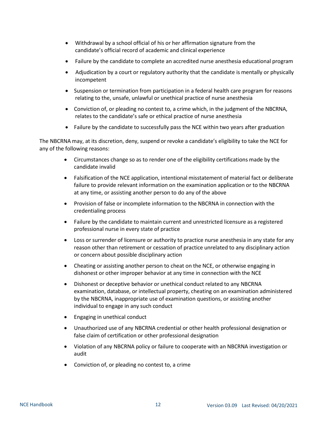- Withdrawal by a school official of his or her affirmation signature from the candidate's official record of academic and clinical experience
- Failure by the candidate to complete an accredited nurse anesthesia educational program
- Adjudication by a court or regulatory authority that the candidate is mentally or physically incompetent
- Suspension or termination from participation in a federal health care program for reasons relating to the, unsafe, unlawful or unethical practice of nurse anesthesia
- Conviction of, or pleading no contest to, a crime which, in the judgment of the NBCRNA, relates to the candidate's safe or ethical practice of nurse anesthesia
- Failure by the candidate to successfully pass the NCE within two years after graduation

The NBCRNA may, at its discretion, deny, suspend or revoke a candidate's eligibility to take the NCE for any of the following reasons:

- Circumstances change so as to render one of the eligibility certifications made by the candidate invalid
- Falsification of the NCE application, intentional misstatement of material fact or deliberate failure to provide relevant information on the examination application or to the NBCRNA at any time, or assisting another person to do any of the above
- Provision of false or incomplete information to the NBCRNA in connection with the credentialing process
- Failure by the candidate to maintain current and unrestricted licensure as a registered professional nurse in every state of practice
- Loss or surrender of licensure or authority to practice nurse anesthesia in any state for any reason other than retirement or cessation of practice unrelated to any disciplinary action or concern about possible disciplinary action
- Cheating or assisting another person to cheat on the NCE, or otherwise engaging in dishonest or other improper behavior at any time in connection with the NCE
- Dishonest or deceptive behavior or unethical conduct related to any NBCRNA examination, database, or intellectual property, cheating on an examination administered by the NBCRNA, inappropriate use of examination questions, or assisting another individual to engage in any such conduct
- Engaging in unethical conduct
- Unauthorized use of any NBCRNA credential or other health professional designation or false claim of certification or other professional designation
- Violation of any NBCRNA policy or failure to cooperate with an NBCRNA investigation or audit
- Conviction of, or pleading no contest to, a crime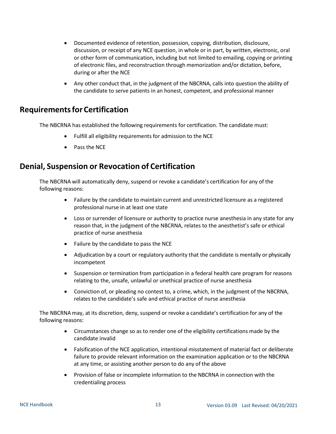- Documented evidence of retention, possession, copying, distribution, disclosure, discussion, or receipt of any NCE question, in whole or in part, by written, electronic, oral or other form of communication, including but not limited to emailing, copying or printing of electronic files, and reconstruction through memorization and/or dictation, before, during or after the NCE
- Any other conduct that, in the judgment of the NBCRNA, calls into question the ability of the candidate to serve patients in an honest, competent, and professional manner

## <span id="page-12-0"></span>**Requirementsfor Certification**

The NBCRNA has established the following requirements for certification. The candidate must:

- Fulfill all eligibility requirements for admission to the NCE
- Pass the NCE

## <span id="page-12-1"></span>**Denial, Suspension or Revocation of Certification**

The NBCRNA will automatically deny, suspend or revoke a candidate's certification for any of the following reasons:

- Failure by the candidate to maintain current and unrestricted licensure as a registered professional nurse in at least one state
- Loss or surrender of licensure or authority to practice nurse anesthesia in any state for any reason that, in the judgment of the NBCRNA, relates to the anesthetist's safe or ethical practice of nurse anesthesia
- Failure by the candidate to pass the NCE
- Adjudication by a court or regulatory authority that the candidate is mentally or physically incompetent
- Suspension or termination from participation in a federal health care program for reasons relating to the, unsafe, unlawful or unethical practice of nurse anesthesia
- Conviction of, or pleading no contest to, a crime, which, in the judgment of the NBCRNA, relates to the candidate's safe and ethical practice of nurse anesthesia

The NBCRNA may, at its discretion, deny, suspend or revoke a candidate's certification for any of the following reasons:

- Circumstances change so as to render one of the eligibility certifications made by the candidate invalid
- Falsification of the NCE application, intentional misstatement of material fact or deliberate failure to provide relevant information on the examination application or to the NBCRNA at any time, or assisting another person to do any of the above
- Provision of false or incomplete information to the NBCRNA in connection with the credentialing process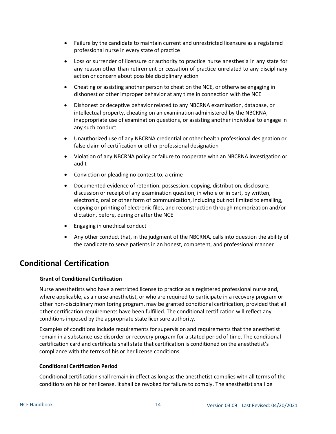- Failure by the candidate to maintain current and unrestricted licensure as a registered professional nurse in every state of practice
- Loss or surrender of licensure or authority to practice nurse anesthesia in any state for any reason other than retirement or cessation of practice unrelated to any disciplinary action or concern about possible disciplinary action
- Cheating or assisting another person to cheat on the NCE, or otherwise engaging in dishonest or other improper behavior at any time in connection with the NCE
- Dishonest or deceptive behavior related to any NBCRNA examination, database, or intellectual property, cheating on an examination administered by the NBCRNA, inappropriate use of examination questions, or assisting another individual to engage in any such conduct
- Unauthorized use of any NBCRNA credential or other health professional designation or false claim of certification or other professional designation
- Violation of any NBCRNA policy or failure to cooperate with an NBCRNA investigation or audit
- Conviction or pleading no contest to, a crime
- Documented evidence of retention, possession, copying, distribution, disclosure, discussion or receipt of any examination question, in whole or in part, by written, electronic, oral or other form of communication, including but not limited to emailing, copying or printing of electronic files, and reconstruction through memorization and/or dictation, before, during or after the NCE
- Engaging in unethical conduct
- Any other conduct that, in the judgment of the NBCRNA, calls into question the ability of the candidate to serve patients in an honest, competent, and professional manner

# <span id="page-13-0"></span>**Conditional Certification**

## **Grant of Conditional Certification**

Nurse anesthetists who have a restricted license to practice as a registered professional nurse and, where applicable, as a nurse anesthetist, or who are required to participate in a recovery program or other non-disciplinary monitoring program, may be granted conditional certification, provided that all other certification requirements have been fulfilled. The conditional certification will reflect any conditions imposed by the appropriate state licensure authority.

Examples of conditions include requirements for supervision and requirements that the anesthetist remain in a substance use disorder or recovery program for a stated period of time. The conditional certification card and certificate shall state that certification is conditioned on the anesthetist's compliance with the terms of his or her license conditions.

### **Conditional Certification Period**

Conditional certification shall remain in effect as long as the anesthetist complies with all terms of the conditions on his or her license. It shall be revoked for failure to comply. The anesthetist shall be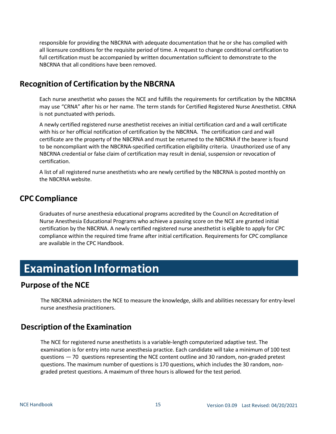responsible for providing the NBCRNA with adequate documentation that he or she has complied with all licensure conditions for the requisite period of time. A request to change conditional certification to full certification must be accompanied by written documentation sufficient to demonstrate to the NBCRNA that all conditions have been removed.

# <span id="page-14-0"></span>**Recognition of Certification by the NBCRNA**

Each nurse anesthetist who passes the NCE and fulfills the requirements for certification by the NBCRNA may use "CRNA" after his or her name. The term stands for Certified Registered Nurse Anesthetist. CRNA is not punctuated with periods.

A newly certified registered nurse anesthetist receives an initial certification card and a wall certificate with his or her official notification of certification by the NBCRNA. The certification card and wall certificate are the property of the NBCRNA and must be returned to the NBCRNA if the bearer is found to be noncompliant with the NBCRNA-specified certification eligibility criteria. Unauthorized use of any NBCRNA credential or false claim of certification may result in denial, suspension or revocation of certification.

A list of all registered nurse anesthetists who are newly certified by the NBCRNA is posted monthly on the NBCRNA website.

## <span id="page-14-1"></span>**CPC Compliance**

Graduates of nurse anesthesia educational programs accredited by the Council on Accreditation of Nurse Anesthesia Educational Programs who achieve a passing score on the NCE are granted initial certification by the NBCRNA. A newly certified registered nurse anesthetist is eligible to apply for CPC compliance within the required time frame after initial certification. Requirements for CPC compliance are available in the CPC Handbook.

# <span id="page-14-2"></span>**Examination Information**

## <span id="page-14-3"></span>**Purpose of the NCE**

The NBCRNA administers the NCE to measure the knowledge, skills and abilities necessary for entry-level nurse anesthesia practitioners.

## <span id="page-14-4"></span>**Description of the Examination**

The NCE for registered nurse anesthetists is a variable-length computerized adaptive test. The examination is for entry into nurse anesthesia practice. Each candidate will take a minimum of 100 test questions — 70 questions representing the NCE content outline and 30 random, non-graded pretest questions. The maximum number of questions is 170 questions, which includes the 30 random, nongraded pretest questions. A maximum of three hoursis allowed for the test period.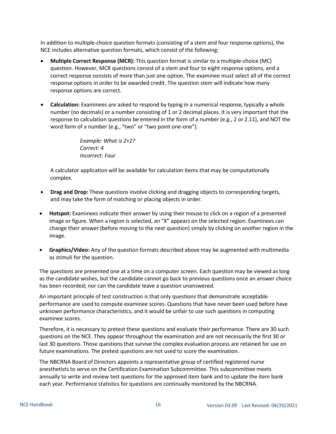In addition to multiple-choice question formats (consisting of a stem and four response options), the NCE includes alternative question formats, which consist of the following:

- **Multiple Correct Response (MCR):** This question format is similar to a multiple-choice (MC) question. However, MCR questions consist of a stem and four to eight response options, and a correct response consists of more than just one option. The examinee must select all of the correct response options in order to be awarded credit. The question stem will indicate how many response options are correct.
- **Calculation:** Examinees are asked to respond by typing in a numerical response, typically a whole number (no decimals) or a number consisting of 1 or 2 decimal places. It is very important that the response to calculation questions be entered in the form of a number (e.g., 2 or 2.11), and NOT the word form of a number (e.g., "two" or "two point one-one").

*Example: What is 2+2? Correct: 4 Incorrect: Four*

A calculator application will be available for calculation items that may be computationally complex.

- **Drag and Drop:** These questions involve clicking and dragging objects to corresponding targets, and may take the form of matching or placing objects in order.
- **Hotspot:** Examinees indicate their answer by using their mouse to click on a region of a presented image or figure. When a region is selected, an "X" appears on the selected region. Examinees can change their answer (before moving to the next question) simply by clicking on another region in the image.
- **Graphics/Video:** Any of the question formats described above may be augmented with multimedia as stimuli for the question.

The questions are presented one at a time on a computer screen. Each question may be viewed as long as the candidate wishes, but the candidate cannot go back to previous questions once an answer choice has been recorded; nor can the candidate leave a question unanswered.

An important principle of test construction is that only questions that demonstrate acceptable performance are used to compute examinee scores. Questions that have never been used before have unknown performance characteristics, and it would be unfair to use such questions in computing examinee scores.

Therefore, it is necessary to pretest these questions and evaluate their performance. There are 30 such questions on the NCE. They appear throughout the examination and are not necessarily the first 30 or last 30 questions. Those questions that survive the complex evaluation process are retained for use on future examinations. The pretest questions are not used to score the examination.

The NBCRNA Board of Directors appoints a representative group of certified registered nurse anesthetists to serve on the Certification Examination Subcommittee. This subcommittee meets annually to write and review test questions for the approved item bank and to update the item bank each year. Performance statistics for questions are continually monitored by the NBCRNA.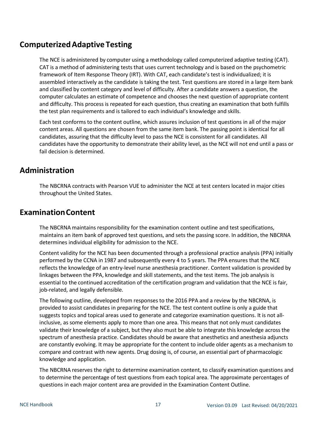# <span id="page-16-0"></span>**ComputerizedAdaptive Testing**

The NCE is administered by computer using a methodology called computerized adaptive testing (CAT). CAT is a method of administering tests that uses current technology and is based on the psychometric framework of Item Response Theory (IRT). With CAT, each candidate's test is individualized; it is assembled interactively as the candidate is taking the test. Test questions are stored in a large item bank and classified by content category and level of difficulty. After a candidate answers a question, the computer calculates an estimate of competence and chooses the next question of appropriate content and difficulty. This process is repeated for each question, thus creating an examination that both fulfills the test plan requirements and is tailored to each individual's knowledge and skills.

Each test conforms to the content outline, which assures inclusion of test questions in all of the major content areas. All questions are chosen from the same item bank. The passing point is identical for all candidates, assuring that the difficulty level to pass the NCE is consistent for all candidates. All candidates have the opportunity to demonstrate their ability level, as the NCE will not end until a pass or fail decision is determined.

# <span id="page-16-1"></span>**Administration**

The NBCRNA contracts with Pearson VUE to administer the NCE at test centers located in major cities throughout the United States.

## <span id="page-16-2"></span>**ExaminationContent**

The NBCRNA maintains responsibility for the examination content outline and test specifications, maintains an item bank of approved test questions, and sets the passing score. In addition, the NBCRNA determines individual eligibility for admission to the NCE.

Content validity for the NCE has been documented through a professional practice analysis (PPA) initially performed by the CCNA in 1987 and subsequently every 4 to 5 years. The PPA ensures that the NCE reflects the knowledge of an entry-level nurse anesthesia practitioner. Content validation is provided by linkages between the PPA, knowledge and skill statements, and the test items. The job analysis is essential to the continued accreditation of the certification program and validation that the NCE is fair, job-related, and legally defensible.

The following outline, developed from responses to the 2016 PPA and a review by the NBCRNA, is provided to assist candidates in preparing for the NCE. The test content outline is only a guide that suggests topics and topical areas used to generate and categorize examination questions. It is not allinclusive, as some elements apply to more than one area. This means that not only must candidates validate their knowledge of a subject, but they also must be able to integrate this knowledge across the spectrum of anesthesia practice. Candidates should be aware that anesthetics and anesthesia adjuncts are constantly evolving. It may be appropriate for the content to include older agents as a mechanism to compare and contrast with new agents. Drug dosing is, of course, an essential part of pharmacologic knowledge and application.

The NBCRNA reserves the right to determine examination content, to classify examination questions and to determine the percentage of test questions from each topical area. The approximate percentages of questions in each major content area are provided in the Examination Content Outline.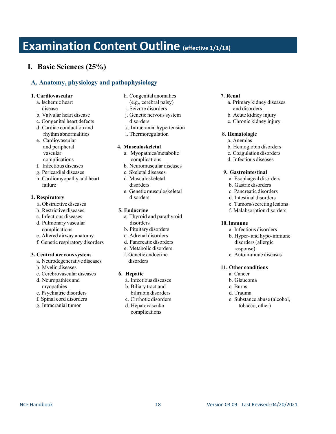# <span id="page-17-0"></span>**Examination Content Outline (effective 1/1/18)**

## **I. Basic Sciences (25%)**

## **A. Anatomy, physiology and pathophysiology**

### **1. Cardiovascular**

- a. lschemic heart disease
- b. Valvular heart disease
- c. Congenital heart defects
- d. Cardiac conduction and rhythm abnormalities
- e. Cardiovascular and peripheral vascular
- complications
- f. Infectious diseases
- g. Pericardial diseases
- h. Cardiomyopathy and heart failure

#### **2. Respiratory**

- a. Obstructive diseases
- b. Restrictive diseases
- c. Infectious diseases
- d. Pulmonary vascular complications
- e. Altered airway anatomy
- f. Genetic respiratory disorders

#### **3. Central nervoussystem**

- a. Neurodegenerative diseases
- b. Myelin diseases
- c. Cerebrovascular diseases
- d. Neuropathies and myopathies
- e. Psychiatric disorders
- f. Spinal cord disorders
- g. Intracranial tumor
- h. Congenital anomalies (e.g., cerebral palsy)
- i. Seizure disorders
- j. Genetic nervous system disorders
- 
- k. Intracranial hypertension
- l. Thermoregulation

#### **4. Musculoskeletal**

- a. Myopathies/metabolic complications
- b. Neuromuscular diseases
- c. Skeletal diseases
- d. Musculoskeletal disorders
- e. Genetic musculoskeletal disorders

#### **5. Endocrine**

- a. Thyroid and parathyroid disorders
- b. Pituitary disorders
- c. Adrenal disorders
- d. Pancreatic disorders
- e. Metabolic disorders
- f. Genetic endocrine disorders

#### **6. Hepatic**

- a. Infectious diseases
- b. Biliary tract and bilirubin disorders
- c. Cirrhotic disorders d. Hepatovascular complications

## **7. Renal**

- a. Primary kidney diseases and disorders
- b. Acute kidney injury
- c. Chronic kidney injury

### **8. Hematologic**

- a. Anemias
- b. Hemoglobin disorders
- c. Coagulation disorders
- d. Infectious diseases

#### **9. Gastrointestinal**

- a. Esophageal disorders
- b. Gastric disorders
- c. Pancreatic disorders
- d. Intestinal disorders
- e. Tumors/secreting lesions
- f. Malabsorption disorders

### **10.Immune**

- a. Infectious disorders
- b. Hyper- and hypo-immune disorders(allergic response)
- c. Autoimmune diseases

#### **11. Other conditions**

- a. Cancer
- b. Glaucoma
- c. Burns
- d. Trauma
- e. Substance abuse (alcohol, tobacco, other)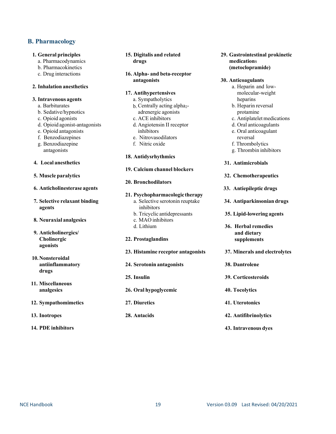## **B. Pharmacology**

#### **1. General principles**

- a. Pharmacodynamics
- b. Pharmacokinetics
- c. Drug interactions

### **2. Inhalation anesthetics**

### **3. Intravenous agents**

- a. Barbiturates
- b. Sedative/hypnotics
- c. Opioid agonists
- d. Opioid agonist-antagonists
- e. Opioid antagonists
- f. Benzodiazepines
- g. Benzodiazepine antagonists

### **4. Local anesthetics**

- **5. Muscle paralytics**
- **6. Anticholinesterase agents**
- **7. Selective relaxant binding agents**
- **8. Neuraxial analgesics**
- **9. Anticholinergics/ Cholinergic agonists**
- **10.Nonsteroidal antiinflammatory drugs**
- **11. Miscellaneous analgesics**
- **12. Sympathomimetics**
- **13. Inotropes**
- **14. PDE inhibitors**
- **15. Digitalis and related drugs**
- **16. Alpha- and beta-receptor antagonists**

### **17. Antihypertensives**

- a. Sympatholytics
- b. Centrally acting alpha<sub>2</sub>-
- adrenergic agonists
- c. ACE inhibitors
- d. Angiotensin II receptor inhibitors
- e. Nitrovasodilators
- f. Nitric oxide

### **18. Antidysrhythmics**

- **19. Calcium channel blockers**
- **20. Bronchodilators**

#### **21. Psychopharmacologic therapy**

- a. Selective serotonin reuptake inhibitors
- b. Tricyclic antidepressants
- c. MAO inhibitors
- d. Lithium
- **22. Prostaglandins**
- **23. Histamine receptor antagonists**
- **24. Serotonin antagonists**
- **25. Insulin**
- **26. Oral hypoglycemic**
- **27. Diuretics**
- **28. Antacids**

**29. Gastrointestinal prokinetic medication**s **(metoclopramide)**

#### **30. Anticoagulants**

- a. Heparin and lowmolecular-weight heparins
- b. Heparin reversal protamine
- c. Antiplatelet medications
- d. Oral anticoagulants e. Oral anticoagulant
- reversal
- f. Thrombolytics
- g. Thrombin inhibitors
- **31. Antimicrobials**
- **32. Chemotherapeutics**
- **33. Antiepileptic drugs**
- **34. Antiparkinsonian drugs**
- **35. Lipid-lowering agents**
- **36. Herbal remedies and dietary supplements**
- **37. Minerals and electrolytes**
- **38. Dantrolene**
- **39. Corticosteroids**
- **40. Tocolytics**
- **41. Uterotonics**
- **42. Antifibrinolytics**
- **43. Intravenous dyes**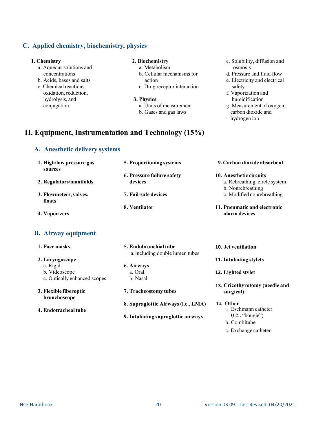## **C. Applied chemistry, biochemistry, physics**

#### **1. Chemistry**

- a. Aqueous solutions and concentrations
- b. Acids, bases and salts
- c. Chemical reactions: oxidation, reduction, hydrolysis, and conjugation

#### **2. Biochemistry**

- a. Metabolism
- b. Cellular mechanisms for action
- c. Drug receptor interaction
- **3. Physics**
	- a. Units of measurement b. Gases and gas laws

## **II. Equipment, Instrumentation and Technology (15%)**

### **A. Anesthetic delivery systems**

#### **1. High/low pressure gas sources 2. Regulators/manifolds 3. Flowmeters, valves, floats 4. Vaporizers 5. Proportioning systems 6. Pressure failure safety devices 7. Fail-safe devices 8. Ventilator 9. Carbon dioxide absorbent 10. Anesthetic circuits** a. Rebreathing, circle system b. Nonrebreathing c. Modified nonrebreathing **11. Pneumatic and electronic alarm devices B. Airway equipment 1. Face masks 2. Laryngoscope** a. Rigid b. Videoscope c. Optically enhanced scopes **3. Flexible fiberoptic bronchoscope 4. Endotrachealtube 5. Endobronchialtube** a.including double lumen tubes **6. Airways** a. Oral b. Nasal **7. Tracheostomy tubes 8. Supraglottic Airways (i.e., LMA) 9. Intubating supraglottic airways 10. Jet ventilation 11. Intubating stylets 12. Lighted stylet 13. Cricothyrotomy (needle and surgical) 14. Other** a. Eschmann catheter (i.e., "bougie") b. Combitube

c. Exchange catheter

osmosis d. Pressure and fluid flow e. Electricity and electrical

safety f. Vaporization and humidification

c. Solubility, diffusion and

g. Measurement of oxygen, carbon dioxide and hydrogen ion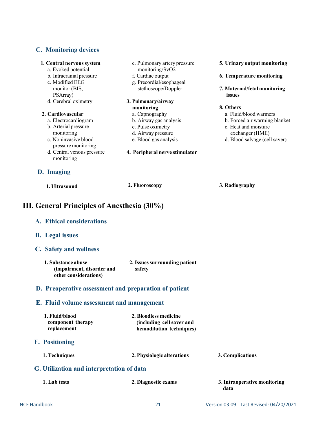## **C. Monitoring devices**

| 1. Central nervous system<br>a. Evoked potential | e. Pulmonary artery pressure<br>monitoring/SvO2 | 5. Urinary output monitoring  |
|--------------------------------------------------|-------------------------------------------------|-------------------------------|
| b. Intracranial pressure                         | f. Cardiac output                               | 6. Temperature monitoring     |
| c. Modified EEG                                  | g. Precordial/esophageal                        |                               |
| monitor (BIS,                                    | stethoscope/Doppler                             | 7. Maternal/fetal monitoring  |
| PSArray)                                         |                                                 | issues                        |
| d. Cerebral oximetry                             | 3. Pulmonary/airway                             |                               |
|                                                  | monitoring                                      | 8. Others                     |
| 2. Cardiovascular                                | a. Capnography                                  | a. Fluid/blood warmers        |
| a. Electrocardiogram                             | b. Airway gas analysis                          | b. Forced air warming blanket |
| b. Arterial pressure                             | c. Pulse oximetry                               | c. Heat and moisture          |
| monitoring                                       | d. Airway pressure                              | exchanger (HME)               |
| c. Noninvasive blood<br>pressure monitoring      | e. Blood gas analysis                           | d. Blood salvage (cell saver) |
| d. Central venous pressure<br>monitoring         | 4. Peripheral nerve stimulator                  |                               |
| D. Imaging                                       |                                                 |                               |
| 1. Ultrasound                                    | 2. Fluoroscopy                                  | 3. Radiography                |

# **III. General Principles of Anesthesia (30%)**

| A. Ethical considerations                                                |                                                                                |                  |
|--------------------------------------------------------------------------|--------------------------------------------------------------------------------|------------------|
| <b>B.</b> Legal issues                                                   |                                                                                |                  |
| C. Safety and wellness                                                   |                                                                                |                  |
| 1. Substance abuse<br>(impairment, disorder and<br>other considerations) | 2. Issues surrounding patient<br>safety                                        |                  |
| D. Preoperative assessment and preparation of patient                    |                                                                                |                  |
| E. Fluid volume assessment and management                                |                                                                                |                  |
| 1. Fluid/blood<br>component therapy<br>replacement                       | 2. Bloodless medicine<br>(including cell saver and<br>hemodilution techniques) |                  |
| <b>F.</b> Positioning                                                    |                                                                                |                  |
| 1. Techniques                                                            | 2. Physiologic alterations                                                     | 3. Complications |
|                                                                          |                                                                                |                  |

## **G. Utilization and interpretation of data**

| 1. Lab tests | 2. Diagnostic exams | 3. Intraoperative monitoring<br>data |
|--------------|---------------------|--------------------------------------|
|              |                     |                                      |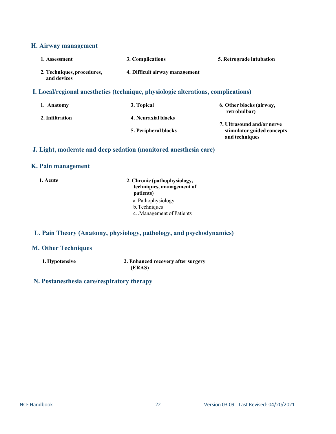## **H. Airway management**

| 1. Assessment                                                                     | 3. Complications               | 5. Retrograde intubation |
|-----------------------------------------------------------------------------------|--------------------------------|--------------------------|
| 2. Techniques, procedures,<br>and devices                                         | 4. Difficult airway management |                          |
| I. Local/regional anesthetics (technique, physiologic alterations, complications) |                                |                          |
| Anatomy                                                                           | 3 Tonical                      | 6 Other hlocks (airway   |

| 1. Aliatolity   | J. TUPICAI           | 0. UTHER DRUCKS (AIL WAY,  |
|-----------------|----------------------|----------------------------|
|                 |                      | retrobulbar)               |
| 2. Infiltration | 4. Neuraxial blocks  |                            |
|                 |                      | 7. Ultrasound and/or nerve |
|                 | 5. Peripheral blocks | stimulator guided concepts |
|                 |                      | and techniques             |
|                 |                      |                            |

## **J. Light, moderate and deep sedation (monitored anesthesia care)**

## **K. Pain management**

**1. Acute 2. Chronic (pathophysiology, techniques, management of patients)** a. Pathophysiology b.Techniques c. .Management of Patients

## **L. Pain Theory (Anatomy, physiology, pathology, and psychodynamics)**

## **M. Other Techniques**

**1. Hypotensive 2. Enhanced recovery after surgery (ERAS)**

## **N. Postanesthesia care/respiratory therapy**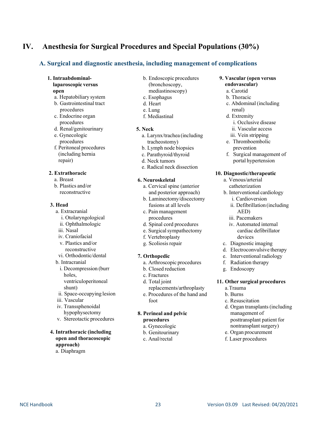## **IV. Anesthesia for Surgical Procedures and Special Populations (30%)**

## **A. Surgical and diagnostic anesthesia, including management of complications**

- **1. Intraabdominallaparoscopic versus open**
	- a. Hepatobiliary system b. Gastrointestinal tract
	- procedures c. Endocrine organ procedures
	- d. Renal/genitourinary
	- e. Gynecologic procedures f. Peritoneal procedures
	- (including hernia repair)

#### **2. Extrathoracic**

- a. Breast
- b. Plastics and/or reconstructive

#### **3. Head**

- a. Extracranial
	- i. Otolaryngological
	- ii. Ophthalmologic
- iii. Nasal
- iv. Craniofacial
- v. Plastics and/or reconstructive
- vi. Orthodontic/dental
- b. Intracranial
- i. Decompression (burr holes, ventriculoperitoneal
- shunt) ii. Space-occupying lesion
- iii. Vascular
- iv. Transsphenoidal hypophysectomy
- v. Stereotactic procedures

#### **4. Intrathoracic (including open and thoracoscopic approach)** a. Diaphragm

- b. Endoscopic procedures
- (bronchoscopy,
- mediastinoscopy)
- c. Esophagus
- d. Heart e. Lung
- f. Mediastinal

#### **5. Neck**

- a. Larynx/trachea (including tracheostomy)
- b. Lymph node biopsies
- c. Parathyroid/thyroid
- d. Neck tumors
- e. Radical neck dissection

#### **6. Neuroskeletal**

- a. Cervical spine (anterior and posterior approach)
- b. Laminectomy/discectomy fusions at all levels
- c. Pain management procedures
- d. Spinal cord procedures
- e. Surgical sympathectomy
- f. Vertebroplasty
- g. Scoliosisrepair

### **7. Orthopedic**

- a. Arthroscopic procedures
- b. Closed reduction
- c. Fractures
- d. Total joint replacements/arthroplasty
- e. Procedures of the hand and foot

#### **8. Perineal and pelvic procedures**

- a. Gynecologic
- b. Genitourinary
- c. Anal/rectal

### **9. Vascular (open versus endovascular)**

- a. Carotid
- b. Thoracic
- c. Abdominal(including renal)
- d. Extremity
	- i. Occlusive disease
- ii. Vascular access
- iii. Vein stripping
- e. Thromboembolic prevention
- f. Surgical management of portal hypertension

#### **10. Diagnostic/therapeutic**

- a. Venous/arterial catheterization
- b. Interventional cardiology i. Cardioversion
	- ii. Defibrillation (including AED)
	- iii. Pacemakers
	- iv. Automated internal cardiac defibrillator devices
- c. Diagnostic imaging
- d. Electroconvulsive therapy
- e. Interventional radiology
- f. Radiation therapy
- g. Endoscopy

#### **11. Other surgical procedures**

- a.Trauma
- b. Burns
- c. Resuscitation
- d. Organ transplants (including management of posttransplant patient for nontransplant surgery)
- e. Organ procurement
- f. Laser procedures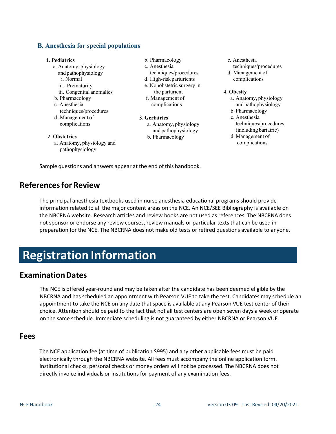## **B. Anesthesia for special populations**

#### 1. **Pediatrics**

- a. Anatomy, physiology
- and pathophysiology
- i. Normal ii. Prematurity
- 
- iii. Congenital anomalies
- b. Pharmacology c. Anesthesia
- techniques/procedures
- d. Management of complications
- 2. **Obstetrics**
	- a. Anatomy, physiology and pathophysiology
- b. Pharmacology
- c. Anesthesia
- techniques/procedures
- d. High-risk parturients
- e. Nonobstetric surgery in the parturient
- f. Management of complications
- 3. **Geriatrics**
	- a. Anatomy, physiology and pathophysiology
	- b. Pharmacology
- c. Anesthesia
- techniques/procedures d. Management of complications

#### **4. Obesity**

- a. Anatomy, physiology and pathophysiology
- b. Pharmacology
- c. Anesthesia techniques/procedures (including bariatric)
- d. Management of complications

Sample questions and answers appear at the end of this handbook.

## <span id="page-23-0"></span>**Referencesfor Review**

The principal anesthesia textbooks used in nurse anesthesia educational programs should provide information related to all the major content areas on the NCE. An NCE/SEE Bibliography is available on the NBCRNA website. Research articles and review books are not used as references. The NBCRNA does not sponsor or endorse any review courses, review manuals or particular texts that can be used in preparation for the NCE. The NBCRNA does not make old tests or retired questions available to anyone.

# <span id="page-23-1"></span>**Registration Information**

## <span id="page-23-2"></span>**ExaminationDates**

The NCE is offered year-round and may be taken after the candidate has been deemed eligible by the NBCRNA and has scheduled an appointment with Pearson VUE to take the test. Candidates may schedule an appointment to take the NCE on any date that space is available at any Pearson VUE test center of their choice. Attention should be paid to the fact that not all test centers are open seven days a week or operate on the same schedule. Immediate scheduling is not guaranteed by either NBCRNA or Pearson VUE.

## <span id="page-23-3"></span>**Fees**

The NCE application fee (at time of publication \$995) and any other applicable fees must be paid electronically through the NBCRNA website. All fees must accompany the online application form. Institutional checks, personal checks or money orders will not be processed. The NBCRNA does not directly invoice individuals or institutions for payment of any examination fees.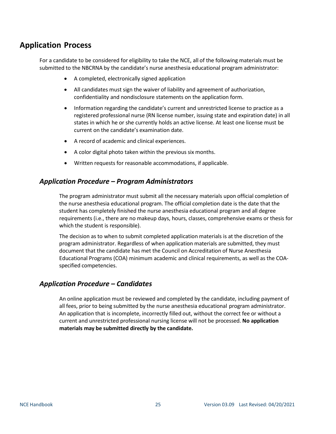## <span id="page-24-0"></span>**Application Process**

For a candidate to be considered for eligibility to take the NCE, all of the following materials must be submitted to the NBCRNA by the candidate's nurse anesthesia educational program administrator:

- A completed, electronically signed application
- All candidates must sign the waiver of liability and agreement of authorization, confidentiality and nondisclosure statements on the application form.
- Information regarding the candidate's current and unrestricted license to practice as a registered professional nurse (RN license number, issuing state and expiration date) in all states in which he or she currently holds an active license. At least one license must be current on the candidate's examination date.
- A record of academic and clinical experiences.
- A color digital photo taken within the previous six months.
- Written requests for reasonable accommodations, if applicable.

## *Application Procedure – Program Administrators*

The program administrator must submit all the necessary materials upon official completion of the nurse anesthesia educational program. The official completion date is the date that the student has completely finished the nurse anesthesia educational program and all degree requirements (i.e., there are no makeup days, hours, classes, comprehensive exams or thesis for which the student is responsible).

The decision as to when to submit completed application materials is at the discretion of the program administrator. Regardless of when application materials are submitted, they must document that the candidate has met the Council on Accreditation of Nurse Anesthesia Educational Programs (COA) minimum academic and clinical requirements, as well as the COAspecified competencies.

## *Application Procedure – Candidates*

An online application must be reviewed and completed by the candidate, including payment of all fees, prior to being submitted by the nurse anesthesia educational program administrator. An application that is incomplete, incorrectly filled out, without the correct fee or without a current and unrestricted professional nursing license will not be processed. **No application materials may be submitted directly by the candidate.**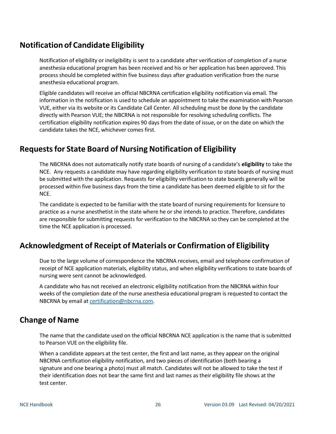# <span id="page-25-0"></span>**Notification of Candidate Eligibility**

Notification of eligibility or ineligibility is sent to a candidate after verification of completion of a nurse anesthesia educational program has been received and his or her application has been approved. This process should be completed within five business days after graduation verification from the nurse anesthesia educational program.

Eligible candidates will receive an official NBCRNA certification eligibility notification via email. The information in the notification is used to schedule an appointment to take the examination with Pearson VUE, either via its website or its Candidate Call Center. All scheduling must be done by the candidate directly with Pearson VUE; the NBCRNA is not responsible for resolving scheduling conflicts. The certification eligibility notification expires 90 days from the date of issue, or on the date on which the candidate takes the NCE, whichever comes first.

# <span id="page-25-1"></span>**Requestsfor State Board of Nursing Notification of Eligibility**

The NBCRNA does not automatically notify state boards of nursing of a candidate's **eligibility** to take the NCE. Any requests a candidate may have regarding eligibility verification to state boards of nursing must be submitted with the application. Requests for eligibility verification to state boards generally will be processed within five business days from the time a candidate has been deemed eligible to sit for the NCE.

The candidate is expected to be familiar with the state board of nursing requirements for licensure to practice as a nurse anesthetist in the state where he or she intends to practice. Therefore, candidates are responsible for submitting requests for verification to the NBCRNA so they can be completed at the time the NCE application is processed.

# <span id="page-25-2"></span>**Acknowledgment of Receipt of Materials or Confirmation of Eligibility**

Due to the large volume of correspondence the NBCRNA receives, email and telephone confirmation of receipt of NCE application materials, eligibility status, and when eligibility verifications to state boards of nursing were sent cannot be acknowledged.

A candidate who has not received an electronic eligibility notification from the NBCRNA within four weeks of the completion date of the nurse anesthesia educational program is requested to contact the NBCRNA by email at [certification@nbcrna.com.](mailto:certification@nbcrna.com)

# <span id="page-25-3"></span>**Change of Name**

The name that the candidate used on the official NBCRNA NCE application is the name that is submitted to Pearson VUE on the eligibility file.

When a candidate appears at the test center, the first and last name, as they appear on the original NBCRNA certification eligibility notification, and two pieces of identification (both bearing a signature and one bearing a photo) must all match. Candidates will not be allowed to take the test if their identification does not bear the same first and last names as their eligibility file shows at the test center.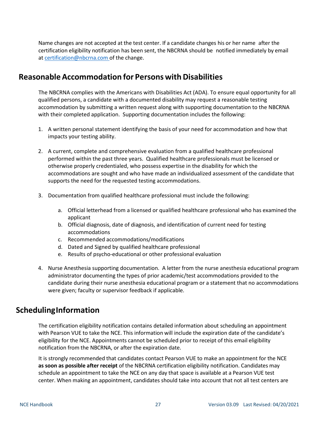Name changes are not accepted at the test center. If a candidate changes his or her name after the certification eligibility notification has been sent, the NBCRNA should be notified immediately by email at [certification@nbcrna.com](mailto:certification@nbcrna.com) of the change.

## <span id="page-26-0"></span>**Reasonable Accommodation for Persons with Disabilities**

 The NBCRNA complies with the Americans with Disabilities Act (ADA). To ensure equal opportunity for all qualified persons, a candidate with a documented disability may request a reasonable testing accommodation by submitting a written request along with supporting documentation to the NBCRNA with their completed application. Supporting documentation includes the following:

- 1. A written personal statement identifying the basis of your need for accommodation and how that impacts your testing ability.
- 2. A current, complete and comprehensive evaluation from a qualified healthcare professional performed within the past three years. Qualified healthcare professionals must be licensed or otherwise properly credentialed, who possess expertise in the disability for which the accommodations are sought and who have made an individualized assessment of the candidate that supports the need for the requested testing accommodations.
- 3. Documentation from qualified healthcare professional must include the following:
	- a. Official letterhead from a licensed or qualified healthcare professional who has examined the applicant
	- b. Official diagnosis, date of diagnosis, and identification of current need for testing accommodations
	- c. Recommended accommodations/modifications
	- d. Dated and Signed by qualified healthcare professional
	- e. Results of psycho-educational or other professional evaluation
- 4. Nurse Anesthesia supporting documentation. A letter from the nurse anesthesia educational program administrator documenting the types of prior academic/test accommodations provided to the candidate during their nurse anesthesia educational program or a statement that no accommodations were given; faculty or supervisor feedback if applicable.

## <span id="page-26-1"></span>**SchedulingInformation**

The certification eligibility notification contains detailed information about scheduling an appointment with Pearson VUE to take the NCE. This information will include the expiration date of the candidate's eligibility for the NCE. Appointments cannot be scheduled prior to receipt of this email eligibility notification from the NBCRNA, or after the expiration date.

It is strongly recommended that candidates contact Pearson VUE to make an appointment for the NCE **as soon as possible after receipt** of the NBCRNA certification eligibility notification. Candidates may schedule an appointment to take the NCE on any day that space is available at a Pearson VUE test center. When making an appointment, candidates should take into account that not all test centers are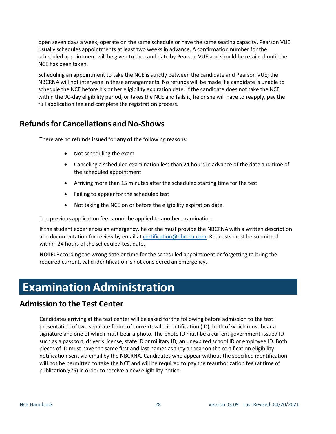open seven days a week, operate on the same schedule or have the same seating capacity. Pearson VUE usually schedules appointments at least two weeks in advance. A confirmation number for the scheduled appointment will be given to the candidate by Pearson VUE and should be retained until the NCE has been taken.

Scheduling an appointment to take the NCE is strictly between the candidate and Pearson VUE; the NBCRNA will not intervene in these arrangements. No refunds will be made if a candidate is unable to schedule the NCE before his or her eligibility expiration date. If the candidate does not take the NCE within the 90-day eligibility period, or takes the NCE and fails it, he orshe will have to reapply, pay the full application fee and complete the registration process.

# <span id="page-27-0"></span>**Refunds for Cancellations and No-Shows**

There are no refunds issued for **any of** the following reasons:

- Not scheduling the exam
- Canceling a scheduled examination less than 24 hours in advance of the date and time of the scheduled appointment
- Arriving more than 15 minutes after the scheduled starting time for the test
- Failing to appear for the scheduled test
- Not taking the NCE on or before the eligibility expiration date.

The previous application fee cannot be applied to another examination.

If the student experiences an emergency, he or she must provide the NBCRNA with a written description and documentation for review by email at [certification@nbcrna.com.](mailto:certification@nbcrna.com) Requests must be submitted within 24 hours of the scheduled test date.

**NOTE:** Recording the wrong date or time for the scheduled appointment or forgetting to bring the required current, valid identification is not considered an emergency.

# <span id="page-27-1"></span>**Examination Administration**

## <span id="page-27-2"></span>**Admission to the Test Center**

<span id="page-27-3"></span>Candidates arriving at the test center will be asked for the following before admission to the test: presentation of two separate forms of **current**, valid identification (ID), both of which must bear a signature and one of which must bear a photo. The photo ID must be a current government-issued ID such as a passport, driver's license, state ID or military ID; an unexpired school ID or employee ID. Both pieces of ID must have the same first and last names as they appear on the certification eligibility notification sent via email by the NBCRNA. Candidates who appear without the specified identification will not be permitted to take the NCE and will be required to pay the reauthorization fee (at time of publication \$75) in order to receive a new eligibility notice.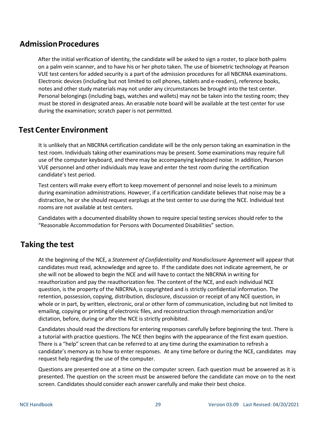## **AdmissionProcedures**

After the initial verification of identity, the candidate will be asked to sign a roster, to place both palms on a palm vein scanner, and to have his or her photo taken. The use of biometric technology at Pearson VUE test centers for added security is a part of the admission procedures for all NBCRNA examinations. Electronic devices (including but not limited to cell phones, tablets and e-readers), reference books, notes and other study materials may not under any circumstances be brought into the test center. Personal belongings (including bags, watches and wallets) may not be taken into the testing room; they must be stored in designated areas. An erasable note board will be available at the test center for use during the examination; scratch paper is not permitted.

## <span id="page-28-0"></span>**Test Center Environment**

It is unlikely that an NBCRNA certification candidate will be the only person taking an examination in the test room. Individuals taking other examinations may be present. Some examinations may require full use of the computer keyboard, and there may be accompanying keyboard noise. In addition, Pearson VUE personnel and other individuals may leave and enter the test room during the certification candidate's test period.

Test centers will make every effort to keep movement of personnel and noise levels to a minimum during examination administrations. However, if a certification candidate believes that noise may be a distraction, he or she should request earplugs at the test center to use during the NCE. Individual test rooms are not available at test centers.

Candidates with a documented disability shown to require special testing services should refer to the "Reasonable Accommodation for Persons with Documented Disabilities" section.

# <span id="page-28-1"></span>**Taking the test**

At the beginning of the NCE, a *Statement of Confidentiality and Nondisclosure Agreement* will appear that candidates must read, acknowledge and agree to. If the candidate does not indicate agreement, he or she will not be allowed to begin the NCE and will have to contact the NBCRNA in writing for reauthorization and pay the reauthorization fee. The content of the NCE, and each individual NCE question, is the property of the NBCRNA, is copyrighted and is strictly confidential information. The retention, possession, copying, distribution, disclosure, discussion or receipt of any NCE question, in whole or in part, by written, electronic, oral or other form of communication, including but not limited to emailing, copying or printing of electronic files, and reconstruction through memorization and/or dictation, before, during or after the NCE is strictly prohibited.

Candidates should read the directions for entering responses carefully before beginning the test. There is a tutorial with practice questions. The NCE then begins with the appearance of the first exam question. There is a "help" screen that can be referred to at any time during the examination to refresh a candidate's memory as to how to enter responses. At any time before or during the NCE, candidates may request help regarding the use of the computer.

Questions are presented one at a time on the computer screen. Each question must be answered as it is presented. The question on the screen must be answered before the candidate can move on to the next screen. Candidates should consider each answer carefully and make their best choice.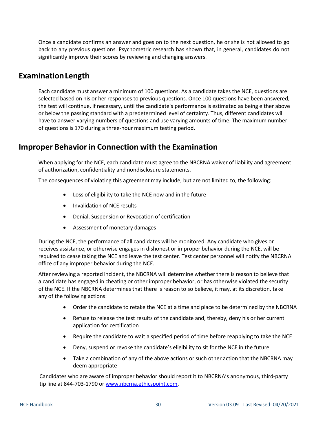Once a candidate confirms an answer and goes on to the next question, he or she is not allowed to go back to any previous questions. Psychometric research has shown that, in general, candidates do not significantly improve their scores by reviewing and changing answers.

## <span id="page-29-0"></span>**ExaminationLength**

Each candidate must answer a minimum of 100 questions. As a candidate takes the NCE, questions are selected based on his or her responses to previous questions. Once 100 questions have been answered, the test will continue, if necessary, until the candidate's performance is estimated as being either above or below the passing standard with a predetermined level of certainty. Thus, different candidates will have to answer varying numbers of questions and use varying amounts of time. The maximum number of questions is 170 during a three-hour maximum testing period.

# <span id="page-29-1"></span>**Improper Behavior in Connection with the Examination**

When applying for the NCE, each candidate must agree to the NBCRNA waiver of liability and agreement of authorization, confidentiality and nondisclosure statements.

The consequences of violating this agreement may include, but are not limited to, the following:

- Loss of eligibility to take the NCE now and in the future
- Invalidation of NCE results
- Denial, Suspension or Revocation of certification
- Assessment of monetary damages

During the NCE, the performance of all candidates will be monitored. Any candidate who gives or receives assistance, or otherwise engages in dishonest or improper behavior during the NCE, will be required to cease taking the NCE and leave the test center. Test center personnel will notify the NBCRNA office of any improper behavior during the NCE.

After reviewing a reported incident, the NBCRNA will determine whether there is reason to believe that a candidate has engaged in cheating or other improper behavior, or has otherwise violated the security of the NCE. If the NBCRNA determines that there is reason to so believe, it may, at its discretion, take any of the following actions:

- Order the candidate to retake the NCE at a time and place to be determined by the NBCRNA
- Refuse to release the test results of the candidate and, thereby, deny his or her current application for certification
- Require the candidate to wait a specified period of time before reapplying to take the NCE
- Deny, suspend or revoke the candidate's eligibility to sit for the NCE in the future
- Take a combination of any of the above actions or such other action that the NBCRNA may deem appropriate

Candidates who are aware of improper behavior should report it to NBCRNA's anonymous, third-party tip line at 844-703-1790 or [www.nbcrna.ethicspoint.com.](http://www.nbcrna.ethicspoint.com/)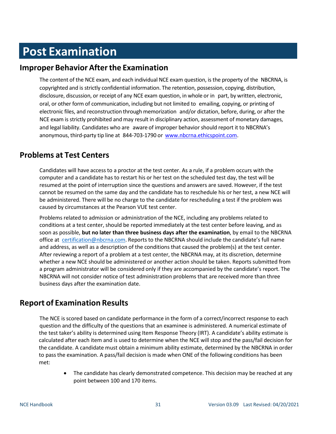# <span id="page-30-0"></span>**Post Examination**

## <span id="page-30-1"></span>**Improper Behavior Afterthe Examination**

The content of the NCE exam, and each individual NCE exam question, is the property of the NBCRNA, is copyrighted and is strictly confidential information. The retention, possession, copying, distribution, disclosure, discussion, or receipt of any NCE exam question, in whole or in part, by written, electronic, oral, or other form of communication, including but not limited to emailing, copying, or printing of electronic files, and reconstruction through memorization and/or dictation, before, during, or after the NCE exam is strictly prohibited and may result in disciplinary action, assessment of monetary damages, and legal liability. Candidates who are aware of improper behaviorshould report it to NBCRNA's anonymous, third-party tip line at 844-703-1790 or [www.nbcrna.ethicspoint.com.](http://www.nbcrna.ethicspoint.com/)

## <span id="page-30-2"></span>**Problems at Test Centers**

Candidates will have access to a proctor at the test center. As a rule, if a problem occurs with the computer and a candidate has to restart his or her test on the scheduled test day, the test will be resumed at the point of interruption since the questions and answers are saved. However, if the test cannot be resumed on the same day and the candidate has to reschedule his or her test, a new NCE will be administered. There will be no charge to the candidate for rescheduling a test if the problem was caused by circumstances at the Pearson VUE test center.

Problems related to admission or administration of the NCE, including any problems related to conditions at a test center, should be reported immediately at the test center before leaving, and as soon as possible, **but no later than three business days after the examination**, by email to the NBCRNA office at [certification@nbcrna.com.](mailto:certification@nbcrna.com) Reports to the NBCRNA should include the candidate's full name and address, as well as a description of the conditions that caused the problem(s) at the test center. After reviewing a report of a problem at a test center, the NBCRNA may, at its discretion, determine whether a new NCE should be administered or another action should be taken. Reports submitted from a program administrator will be considered only if they are accompanied by the candidate's report. The NBCRNA will not consider notice of test administration problems that are received more than three business days after the examination date.

## <span id="page-30-3"></span>**Report of Examination Results**

The NCE is scored based on candidate performance in the form of a correct/incorrect response to each question and the difficulty of the questions that an examinee is administered. A numerical estimate of the test taker's ability is determined using Item Response Theory (IRT). A candidate's ability estimate is calculated after each item and is used to determine when the NCE will stop and the pass/fail decision for the candidate. A candidate must obtain a minimum ability estimate, determined by the NBCRNA in order to passthe examination. A pass/fail decision is made when ONE of the following conditions has been met:

• The candidate has clearly demonstrated competence. This decision may be reached at any point between 100 and 170 items.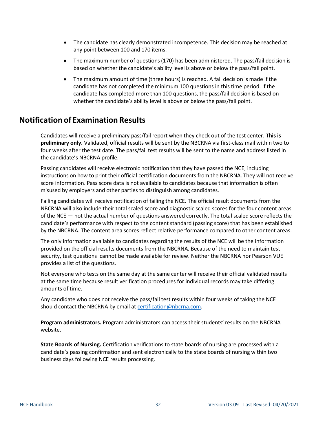- The candidate has clearly demonstrated incompetence. This decision may be reached at any point between 100 and 170 items.
- The maximum number of questions (170) has been administered. The pass/fail decision is based on whether the candidate's ability level is above or below the pass/fail point.
- The maximum amount of time (three hours) is reached. A fail decision is made if the candidate has not completed the minimum 100 questions in thistime period. If the candidate has completed more than 100 questions, the pass/fail decision is based on whether the candidate's ability level is above or below the pass/fail point.

# <span id="page-31-0"></span>**Notification of Examination Results**

Candidates will receive a preliminary pass/fail report when they check out of the test center. **This is preliminary only.** Validated, official results will be sent by the NBCRNA via first-class mail within two to four weeks after the test date. The pass/fail test results will be sent to the name and address listed in the candidate's NBCRNA profile.

Passing candidates will receive electronic notification that they have passed the NCE, including instructions on how to print their official certification documents from the NBCRNA. They will not receive score information. Pass score data is not available to candidates because that information is often misused by employers and other parties to distinguish among candidates.

Failing candidates will receive notification of failing the NCE. The official result documents from the NBCRNA will also include their total scaled score and diagnostic scaled scores for the four content areas of the NCE — not the actual number of questions answered correctly. The total scaled score reflects the candidate's performance with respect to the content standard (passing score) that has been established by the NBCRNA. The content area scores reflect relative performance compared to other content areas.

The only information available to candidates regarding the results of the NCE will be the information provided on the official results documents from the NBCRNA. Because of the need to maintain test security, test questions cannot be made available for review. Neither the NBCRNA nor Pearson VUE provides a list of the questions.

Not everyone who tests on the same day at the same center will receive their official validated results at the same time because result verification procedures for individual records may take differing amounts of time.

Any candidate who does not receive the pass/fail test results within four weeks of taking the NCE should contact the NBCRNA by email at [certification@nbcrna.com.](mailto:certification@nbcrna.com)

**Program administrators.** Program administrators can access their students' results on the NBCRNA website.

**State Boards of Nursing.** Certification verifications to state boards of nursing are processed with a candidate's passing confirmation and sent electronically to the state boards of nursing within two business days following NCE results processing.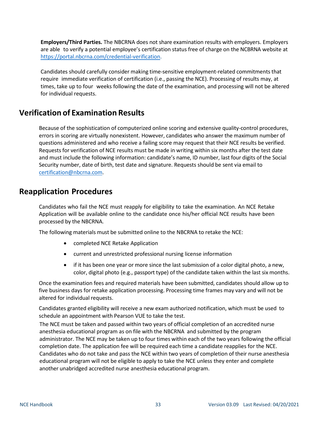**Employers/Third Parties.** The NBCRNA does not share examination results with employers. Employers are able to verify a potential employee's certification status free of charge on the NCBRNA website at [https://portal.nbcrna.com/credential-verification.](https://portal.nbcrna.com/credential-verification)

Candidates should carefully consider making time-sensitive employment-related commitments that require immediate verification of certification (i.e., passing the NCE). Processing of results may, at times, take up to four weeks following the date of the examination, and processing will not be altered for individual requests.

## <span id="page-32-0"></span>**Verification of Examination Results**

Because of the sophistication of computerized online scoring and extensive quality-control procedures, errors in scoring are virtually nonexistent. However, candidates who answer the maximum number of questions administered and who receive a failing score may request that their NCE results be verified. Requests for verification of NCE results must be made in writing within six months after the test date and must include the following information: candidate's name, ID number, last four digits of the Social Security number, date of birth, test date and signature. Requests should be sent via email to [certification@nbcrna.com.](mailto:certification@nbcrna.com)

## <span id="page-32-1"></span>**Reapplication Procedures**

Candidates who fail the NCE must reapply for eligibility to take the examination. An NCE Retake Application will be available online to the candidate once his/her official NCE results have been processed by the NBCRNA.

The following materials must be submitted online to the NBCRNA to retake the NCE:

- completed NCE Retake Application
- current and unrestricted professional nursing license information
- if it has been one year or more since the last submission of a color digital photo, a new, color, digital photo (e.g., passport type) of the candidate taken within the last six months.

Once the examination fees and required materials have been submitted, candidates should allow up to five business days for retake application processing. Processing time frames may vary and will not be altered for individual requests.

Candidates granted eligibility will receive a new exam authorized notification, which must be used to schedule an appointment with Pearson VUE to take the test.

The NCE must be taken and passed within two years of official completion of an accredited nurse anesthesia educational program as on file with the NBCRNA and submitted by the program administrator. The NCE may be taken up to four times within each of the two years following the official completion date. The application fee will be required each time a candidate reapplies for the NCE. Candidates who do not take and pass the NCE within two years of completion of their nurse anesthesia educational program will not be eligible to apply to take the NCE unless they enter and complete another unabridged accredited nurse anesthesia educational program.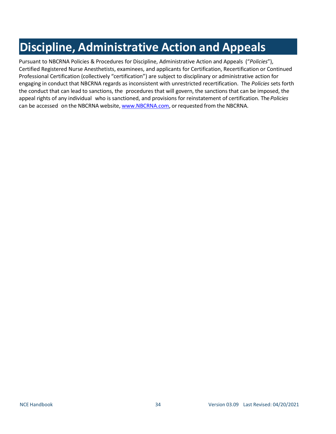# **Discipline, Administrative Action and Appeals**

Pursuant to NBCRNA Policies & Procedures for Discipline, Administrative Action and Appeals ("*Policies*"), Certified Registered Nurse Anesthetists, examinees, and applicants for Certification, Recertification or Continued Professional Certification (collectively "certification") are subject to disciplinary or administrative action for engaging in conduct that NBCRNA regards as inconsistent with unrestricted recertification. The *Policies* sets forth the conduct that can lead to sanctions, the procedures that will govern, the sanctions that can be imposed, the appeal rights of any individual who is sanctioned, and provisions for reinstatement of certification. The*Policies* can be accessed on the NBCRNA website, [www.NBCRNA.com,](http://www.nbcrna.com/) or requested from the NBCRNA.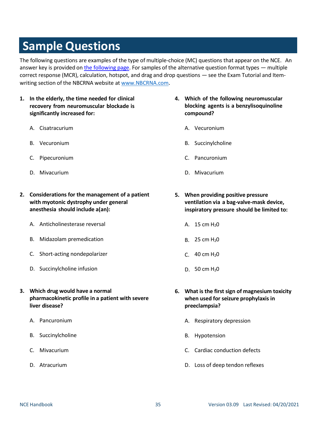# <span id="page-34-0"></span>**Sample Questions**

The following questions are examples of the type of multiple-choice (MC) questions that appear on the NCE. An answer key is provided on the [following page.](#page-37-0) For samples of the alternative question format types — multiple correct response (MCR), calculation, hotspot, and drag and drop questions — see the Exam Tutorial and Itemwriting section of the NBCRNA website at [www.NBCRNA.com](http://www.nbcrna.com/).

- **1. In the elderly, the time needed for clinical recovery from neuromuscular blockade is significantly increased for:**
	- A. Cisatracurium
	- B. Vecuronium
	- C. Pipecuronium
	- D. Mivacurium
- **2. Considerations for the management of a patient with myotonic dystrophy under general anesthesia should include a(an):**
	- A. Anticholinesterase reversal
	- B. Midazolam premedication
	- C. Short-acting nondepolarizer
	- D. Succinylcholine infusion
- **3. Which drug would have a normal pharmacokinetic profile in a patient with severe liver disease?**
	- A. Pancuronium
	- B. Succinylcholine
	- C. Mivacurium
	- D. Atracurium
- **4. Which of the following neuromuscular blocking agents is a benzylisoquinoline compound?**
	- A. Vecuronium
	- B. Succinylcholine
	- C. Pancuronium
	- D. Mivacurium
- **5. When providing positive pressure ventilation via a bag-valve-mask device, inspiratory pressure should be limited to:**
	- A.  $15 \text{ cm } H_2$ 0
	- B. 25 cm  $H_2O$
	- C. 40 cm  $H_2O$
	- D. 50 cm  $H_2O$
- **6. What is the first sign of magnesium toxicity when used for seizure prophylaxis in preeclampsia?**
	- A. Respiratory depression
	- B. Hypotension
	- C. Cardiac conduction defects
	- D. Loss of deep tendon reflexes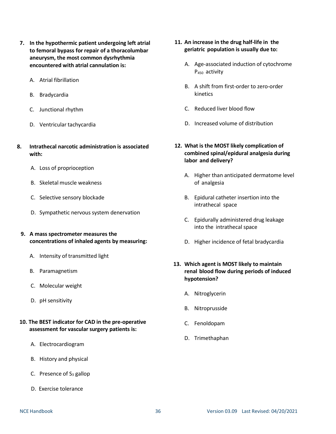- **7. In the hypothermic patient undergoing left atrial to femoral bypass for repair of a thoracolumbar aneurysm, the most common dysrhythmia encountered with atrial cannulation is:**
	- A. Atrial fibrillation
	- B. Bradycardia
	- C. Junctional rhythm
	- D. Ventricular tachycardia
- **8. Intrathecal narcotic administration is associated with:**
	- A. Loss of proprioception
	- B. Skeletal muscle weakness
	- C. Selective sensory blockade
	- D. Sympathetic nervous system denervation
	- **9. A mass spectrometer measures the concentrations of inhaled agents by measuring:**
		- A. Intensity of transmitted light
		- B. Paramagnetism
		- C. Molecular weight
		- D. pH sensitivity
- **10. The BEST indicator for CAD in the pre-operative assessment for vascular surgery patients is:**
	- A. Electrocardiogram
	- B. History and physical
	- C. Presence of  $S_3$  gallop
	- D. Exercise tolerance
- **11. An increase in the drug half-life in the geriatric population is usually due to:**
	- A. Age-associated induction of cytochrome P<sup>450</sup> activity
	- B. A shift from first-order to zero-order kinetics
	- C. Reduced liver blood flow
	- D. Increased volume of distribution
- **12. What is the MOST likely complication of combined spinal/epidural analgesia during labor and delivery?**
	- A. Higher than anticipated dermatome level of analgesia
	- B. Epidural catheter insertion into the intrathecal space
	- C. Epidurally administered drug leakage into the intrathecal space
	- D. Higher incidence of fetal bradycardia
- **13. Which agent is MOST likely to maintain renal blood flow during periods of induced hypotension?**
	- A. Nitroglycerin
	- B. Nitroprusside
	- C. Fenoldopam
	- D. Trimethaphan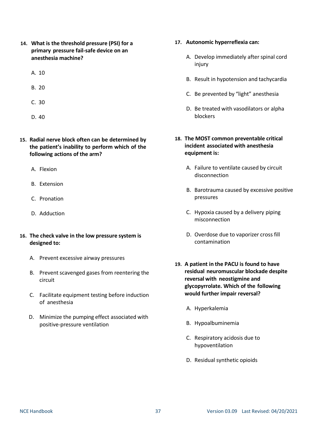- **14. What is the threshold pressure (PSI) for a primary pressure fail-safe device on an anesthesia machine?**
	- A. 10
	- B. 20
	- C. 30
	- D. 40
- **15. Radial nerve block often can be determined by the patient's inability to perform which of the following actions of the arm?**
	- A. Flexion
	- B. Extension
	- C. Pronation
	- D. Adduction
- **16. The check valve in the low pressure system is designed to:**
	- A. Prevent excessive airway pressures
	- B. Prevent scavenged gases from reentering the circuit
	- C. Facilitate equipment testing before induction of anesthesia
	- D. Minimize the pumping effect associated with positive-pressure ventilation
- **17. Autonomic hyperreflexia can:**
	- A. Develop immediately after spinal cord injury
	- B. Result in hypotension and tachycardia
	- C. Be prevented by "light" anesthesia
	- D. Be treated with vasodilators or alpha blockers

## **18. The MOST common preventable critical incident associated with anesthesia equipment is:**

- A. Failure to ventilate caused by circuit disconnection
- B. Barotrauma caused by excessive positive pressures
- C. Hypoxia caused by a delivery piping misconnection
- D. Overdose due to vaporizer cross fill contamination
- **19. A patient in the PACU is found to have residual neuromuscular blockade despite reversal with neostigmine and glycopyrrolate. Which of the following would further impair reversal?**
	- A. Hyperkalemia
	- B. Hypoalbuminemia
	- C. Respiratory acidosis due to hypoventilation
	- D. Residual synthetic opioids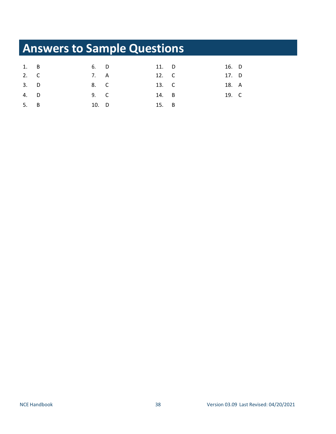# <span id="page-37-0"></span>**Answers to Sample Questions**

| 1. B | 6. D  | 11. D | 16. D |  |
|------|-------|-------|-------|--|
| 2. C | 7. A  | 12. C | 17. D |  |
| 3. D | 8. C  | 13. C | 18. A |  |
| 4. D | 9. C  | 14. B | 19. C |  |
| 5. B | 10. D | 15. B |       |  |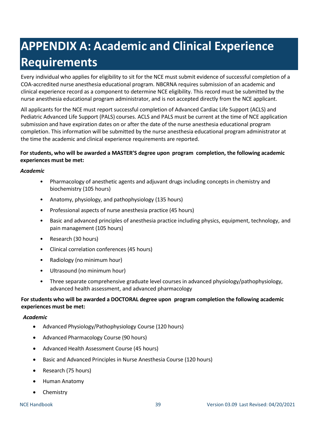# <span id="page-38-0"></span>**APPENDIX A: Academic and Clinical Experience Requirements**

Every individual who applies for eligibility to sit for the NCE must submit evidence of successful completion of a COA-accredited nurse anesthesia educational program. NBCRNA requires submission of an academic and clinical experience record as a component to determine NCE eligibility. This record must be submitted by the nurse anesthesia educational program administrator, and is not accepted directly from the NCE applicant.

All applicants for the NCE must report successful completion of Advanced Cardiac Life Support (ACLS) and Pediatric Advanced Life Support (PALS) courses. ACLS and PALS must be current at the time of NCE application submission and have expiration dates on or after the date of the nurse anesthesia educational program completion. This information will be submitted by the nurse anesthesia educational program administrator at the time the academic and clinical experience requirements are reported.

## **For students, who will be awarded a MASTER'S degree upon program completion, the following academic experiences must be met:**

### *Academic*

- Pharmacology of anesthetic agents and adjuvant drugs including concepts in chemistry and biochemistry (105 hours)
- Anatomy, physiology, and pathophysiology (135 hours)
- Professional aspects of nurse anesthesia practice (45 hours)
- Basic and advanced principles of anesthesia practice including physics, equipment, technology, and pain management (105 hours)
- Research (30 hours)
- Clinical correlation conferences (45 hours)
- Radiology (no minimum hour)
- Ultrasound (no minimum hour)
- Three separate comprehensive graduate level courses in advanced physiology/pathophysiology, advanced health assessment, and advanced pharmacology

## **For students who will be awarded a DOCTORAL degree upon program completion the following academic experiences must be met:**

## *Academic*

- Advanced Physiology/Pathophysiology Course (120 hours)
- Advanced Pharmacology Course (90 hours)
- Advanced Health Assessment Course (45 hours)
- Basic and Advanced Principles in Nurse Anesthesia Course (120 hours)
- Research (75 hours)
- Human Anatomy
- Chemistry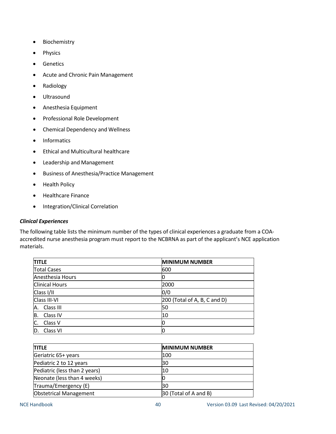- Biochemistry
- Physics
- Genetics
- Acute and Chronic Pain Management
- Radiology
- Ultrasound
- Anesthesia Equipment
- Professional Role Development
- Chemical Dependency and Wellness
- Informatics
- Ethical and Multicultural healthcare
- Leadership and Management
- Business of Anesthesia/Practice Management
- Health Policy
- Healthcare Finance
- Integration/Clinical Correlation

### *Clinical Experiences*

The following table lists the minimum number of the types of clinical experiences a graduate from a COAaccredited nurse anesthesia program must report to the NCBRNA as part of the applicant's NCE application materials.

| <b>TITLE</b>          | <b>MINIMUM NUMBER</b>           |
|-----------------------|---------------------------------|
| <b>Total Cases</b>    | 600                             |
| Anesthesia Hours      |                                 |
| <b>Clinical Hours</b> | 2000                            |
| Class I/II            | 0/0                             |
| Class III-VI          | $[200$ (Total of A, B, C and D) |
| A. Class III          | 50                              |
| B.<br>Class IV        | 10                              |
| C.<br>Class V         |                                 |
| D.<br>Class VI        | Ю                               |

| <b>TITLE</b>                  | <b>MINIMUM NUMBER</b> |
|-------------------------------|-----------------------|
| Geriatric 65+ years           | 100                   |
| Pediatric 2 to 12 years       | 30                    |
| Pediatric (less than 2 years) | 10                    |
| Neonate (less than 4 weeks)   |                       |
| Trauma/Emergency (E)          | 30                    |
| <b>Obstetrical Management</b> | 30 (Total of A and B) |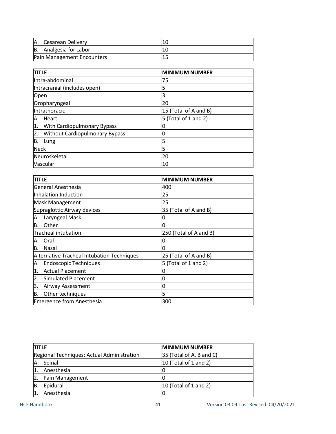| A. Cesarean Delivery       |  |
|----------------------------|--|
| B. Analgesia for Labor     |  |
| Pain Management Encounters |  |

| <b>TITLE</b>                                | <b>MINIMUM NUMBER</b>    |
|---------------------------------------------|--------------------------|
| Intra-abdominal                             | 75                       |
| Intracranial (includes open)                |                          |
| Open                                        | 3                        |
| Oropharyngeal                               | 20                       |
| Intrathoracic                               | 15 (Total of A and B)    |
| Heart<br>Α.                                 | (Total of 1 and 2)<br>5. |
| With Cardiopulmonary Bypass<br>1.           |                          |
| <b>Without Cardiopulmonary Bypass</b><br>2. |                          |
| B.<br>Lung                                  |                          |
| <b>Neck</b>                                 | 5                        |
| Neuroskeletal                               | 20                       |
| Vascular                                    | 10                       |

| <b>TITLE</b>                               | <b>MINIMUM NUMBER</b>  |
|--------------------------------------------|------------------------|
| General Anesthesia                         | 400                    |
| Inhalation Induction                       | 25                     |
| Mask Management                            | 25                     |
| Supraglottic Airway devices                | 35 (Total of A and B)  |
| Laryngeal Mask<br>Α.                       |                        |
| Other<br>Β.                                | O                      |
| <b>Tracheal intubation</b>                 | 250 (Total of A and B) |
| Oral<br>Α.                                 |                        |
| Nasal<br>B.                                | O                      |
| Alternative Tracheal Intubation Techniques | 25 (Total of A and B)  |
| <b>Endoscopic Techniques</b><br>Α.         | 5 (Total of 1 and 2)   |
| <b>Actual Placement</b><br>1.              |                        |
| Simulated Placement<br>2.                  | U                      |
| З.<br>Airway Assessment                    |                        |
| В.<br>Other techniques                     | 5                      |
| <b>Emergence from Anesthesia</b>           | 300                    |

| <b>TITLE</b>                               | <b>MINIMUM NUMBER</b>    |
|--------------------------------------------|--------------------------|
| Regional Techniques: Actual Administration | 35 (Total of A, B and C) |
| Spinal<br>Α.                               | $10$ (Total of 1 and 2)  |
| Anesthesia                                 |                          |
| Pain Management<br>2.                      |                          |
| Epidural<br>B.                             | 10 (Total of 1 and 2)    |
| Anesthesia                                 |                          |